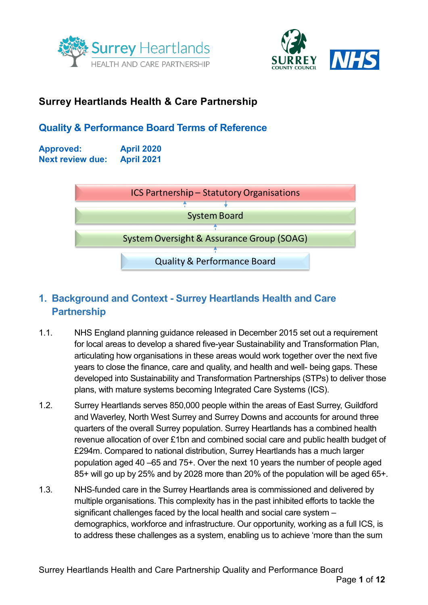



## **Surrey Heartlands Health & Care Partnership**

## **Quality & Performance Board Terms of Reference**

**Approved: April 2020 Next review due: April 2021**



# **1. Background and Context - Surrey Heartlands Health and Care Partnership**

- 1.1. NHS England planning guidance released in December 2015 set out a requirement for local areas to develop a shared five-year Sustainability and Transformation Plan, articulating how organisations in these areas would work together over the next five years to close the finance, care and quality, and health and well- being gaps. These developed into Sustainability and Transformation Partnerships (STPs) to deliver those plans, with mature systems becoming Integrated Care Systems (ICS).
- 1.2. Surrey Heartlands serves 850,000 people within the areas of East Surrey, Guildford and Waverley, North West Surrey and Surrey Downs and accounts for around three quarters of the overall Surrey population. Surrey Heartlands has a combined health revenue allocation of over £1bn and combined social care and public health budget of £294m. Compared to national distribution, Surrey Heartlands has a much larger population aged 40 –65 and 75+. Over the next 10 years the number of people aged 85+ will go up by 25% and by 2028 more than 20% of the population will be aged 65+.
- 1.3. NHS-funded care in the Surrey Heartlands area is commissioned and delivered by multiple organisations. This complexity has in the past inhibited efforts to tackle the significant challenges faced by the local health and social care system – demographics, workforce and infrastructure. Our opportunity, working as a full ICS, is to address these challenges as a system, enabling us to achieve 'more than the sum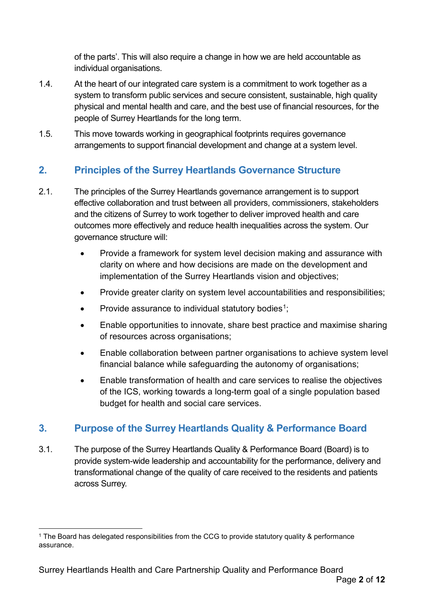of the parts'. This will also require a change in how we are held accountable as individual organisations.

- 1.4. At the heart of our integrated care system is a commitment to work together as a system to transform public services and secure consistent, sustainable, high quality physical and mental health and care, and the best use of financial resources, for the people of Surrey Heartlands for the long term.
- 1.5. This move towards working in geographical footprints requires governance arrangements to support financial development and change at a system level.

# **2. Principles of the Surrey Heartlands Governance Structure**

- 2.1. The principles of the Surrey Heartlands governance arrangement is to support effective collaboration and trust between all providers, commissioners, stakeholders and the citizens of Surrey to work together to deliver improved health and care outcomes more effectively and reduce health inequalities across the system. Our governance structure will:
	- Provide a framework for system level decision making and assurance with clarity on where and how decisions are made on the development and implementation of the Surrey Heartlands vision and objectives;
	- Provide greater clarity on system level accountabilities and responsibilities;
	- Provide assurance to individual statutory bodies<sup>[1](#page-1-0)</sup>;
	- Enable opportunities to innovate, share best practice and maximise sharing of resources across organisations;
	- Enable collaboration between partner organisations to achieve system level financial balance while safeguarding the autonomy of organisations;
	- Enable transformation of health and care services to realise the objectives of the ICS, working towards a long-term goal of a single population based budget for health and social care services.

## **3. Purpose of the Surrey Heartlands Quality & Performance Board**

3.1. The purpose of the Surrey Heartlands Quality & Performance Board (Board) is to provide system-wide leadership and accountability for the performance, delivery and transformational change of the quality of care received to the residents and patients across Surrey.

<span id="page-1-0"></span><sup>&</sup>lt;sup>1</sup> The Board has delegated responsibilities from the CCG to provide statutory quality & performance assurance.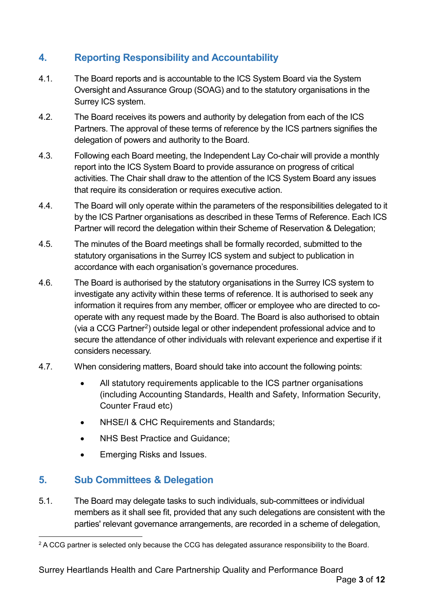# **4. Reporting Responsibility and Accountability**

- 4.1. The Board reports and is accountable to the ICS System Board via the System Oversight and Assurance Group (SOAG) and to the statutory organisations in the Surrey ICS system.
- 4.2. The Board receives its powers and authority by delegation from each of the ICS Partners. The approval of these terms of reference by the ICS partners signifies the delegation of powers and authority to the Board.
- 4.3. Following each Board meeting, the Independent Lay Co-chair will provide a monthly report into the ICS System Board to provide assurance on progress of critical activities. The Chair shall draw to the attention of the ICS System Board any issues that require its consideration or requires executive action.
- 4.4. The Board will only operate within the parameters of the responsibilities delegated to it by the ICS Partner organisations as described in these Terms of Reference. Each ICS Partner will record the delegation within their Scheme of Reservation & Delegation;
- 4.5. The minutes of the Board meetings shall be formally recorded, submitted to the statutory organisations in the Surrey ICS system and subject to publication in accordance with each organisation's governance procedures.
- 4.6. The Board is authorised by the statutory organisations in the Surrey ICS system to investigate any activity within these terms of reference. It is authorised to seek any information it requires from any member, officer or employee who are directed to cooperate with any request made by the Board. The Board is also authorised to obtain (via a CCG Partner[2](#page-2-0)) outside legal or other independent professional advice and to secure the attendance of other individuals with relevant experience and expertise if it considers necessary.
- 4.7. When considering matters, Board should take into account the following points:
	- All statutory requirements applicable to the ICS partner organisations (including Accounting Standards, Health and Safety, Information Security, Counter Fraud etc)
	- NHSE/I & CHC Requirements and Standards;
	- NHS Best Practice and Guidance:
	- Emerging Risks and Issues.

#### **5. Sub Committees & Delegation**

5.1. The Board may delegate tasks to such individuals, sub-committees or individual members as it shall see fit, provided that any such delegations are consistent with the parties' relevant governance arrangements, are recorded in a scheme of delegation,

<span id="page-2-0"></span><sup>&</sup>lt;sup>2</sup> A CCG partner is selected only because the CCG has delegated assurance responsibility to the Board.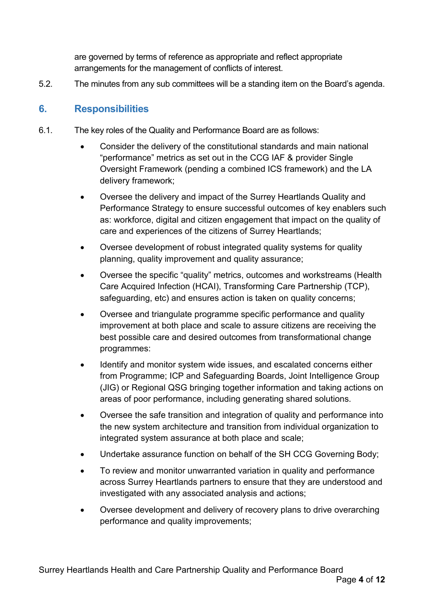are governed by terms of reference as appropriate and reflect appropriate arrangements for the management of conflicts of interest.

5.2. The minutes from any sub committees will be a standing item on the Board's agenda.

#### **6. Responsibilities**

- 6.1. The key roles of the Quality and Performance Board are as follows:
	- Consider the delivery of the constitutional standards and main national "performance" metrics as set out in the CCG IAF & provider Single Oversight Framework (pending a combined ICS framework) and the LA delivery framework;
	- Oversee the delivery and impact of the Surrey Heartlands Quality and Performance Strategy to ensure successful outcomes of key enablers such as: workforce, digital and citizen engagement that impact on the quality of care and experiences of the citizens of Surrey Heartlands;
	- Oversee development of robust integrated quality systems for quality planning, quality improvement and quality assurance;
	- Oversee the specific "quality" metrics, outcomes and workstreams (Health Care Acquired Infection (HCAI), Transforming Care Partnership (TCP), safeguarding, etc) and ensures action is taken on quality concerns;
	- Oversee and triangulate programme specific performance and quality improvement at both place and scale to assure citizens are receiving the best possible care and desired outcomes from transformational change programmes:
	- Identify and monitor system wide issues, and escalated concerns either from Programme; ICP and Safeguarding Boards, Joint Intelligence Group (JIG) or Regional QSG bringing together information and taking actions on areas of poor performance, including generating shared solutions.
	- Oversee the safe transition and integration of quality and performance into the new system architecture and transition from individual organization to integrated system assurance at both place and scale;
	- Undertake assurance function on behalf of the SH CCG Governing Body;
	- To review and monitor unwarranted variation in quality and performance across Surrey Heartlands partners to ensure that they are understood and investigated with any associated analysis and actions;
	- Oversee development and delivery of recovery plans to drive overarching performance and quality improvements;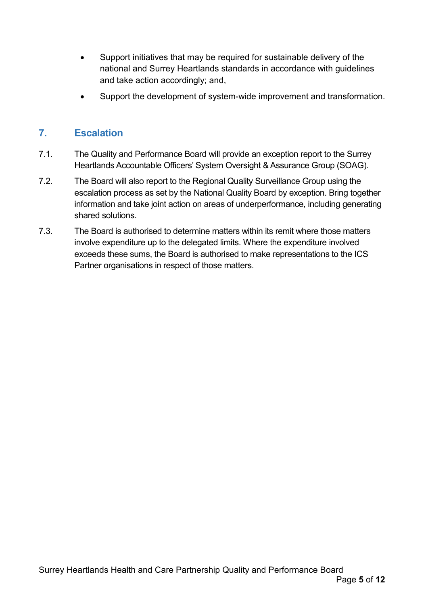- Support initiatives that may be required for sustainable delivery of the national and Surrey Heartlands standards in accordance with guidelines and take action accordingly; and,
- Support the development of system-wide improvement and transformation.

## **7. Escalation**

- 7.1. The Quality and Performance Board will provide an exception report to the Surrey Heartlands Accountable Officers' System Oversight & Assurance Group (SOAG).
- 7.2. The Board will also report to the Regional Quality Surveillance Group using the escalation process as set by the National Quality Board by exception. Bring together information and take joint action on areas of underperformance, including generating shared solutions.
- 7.3. The Board is authorised to determine matters within its remit where those matters involve expenditure up to the delegated limits. Where the expenditure involved exceeds these sums, the Board is authorised to make representations to the ICS Partner organisations in respect of those matters.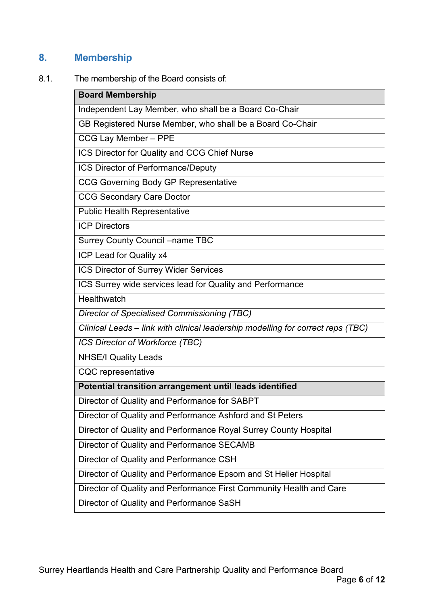# **8. Membership**

8.1. The membership of the Board consists of:

| <b>Board Membership</b>                                                         |  |  |  |  |  |  |
|---------------------------------------------------------------------------------|--|--|--|--|--|--|
| Independent Lay Member, who shall be a Board Co-Chair                           |  |  |  |  |  |  |
| GB Registered Nurse Member, who shall be a Board Co-Chair                       |  |  |  |  |  |  |
| CCG Lay Member - PPE                                                            |  |  |  |  |  |  |
| ICS Director for Quality and CCG Chief Nurse                                    |  |  |  |  |  |  |
| ICS Director of Performance/Deputy                                              |  |  |  |  |  |  |
| <b>CCG Governing Body GP Representative</b>                                     |  |  |  |  |  |  |
| <b>CCG Secondary Care Doctor</b>                                                |  |  |  |  |  |  |
| <b>Public Health Representative</b>                                             |  |  |  |  |  |  |
| <b>ICP Directors</b>                                                            |  |  |  |  |  |  |
| <b>Surrey County Council -name TBC</b>                                          |  |  |  |  |  |  |
| ICP Lead for Quality x4                                                         |  |  |  |  |  |  |
| ICS Director of Surrey Wider Services                                           |  |  |  |  |  |  |
| ICS Surrey wide services lead for Quality and Performance                       |  |  |  |  |  |  |
| Healthwatch                                                                     |  |  |  |  |  |  |
| <b>Director of Specialised Commissioning (TBC)</b>                              |  |  |  |  |  |  |
| Clinical Leads - link with clinical leadership modelling for correct reps (TBC) |  |  |  |  |  |  |
| ICS Director of Workforce (TBC)                                                 |  |  |  |  |  |  |
| <b>NHSE/I Quality Leads</b>                                                     |  |  |  |  |  |  |
| <b>CQC</b> representative                                                       |  |  |  |  |  |  |
| Potential transition arrangement until leads identified                         |  |  |  |  |  |  |
| Director of Quality and Performance for SABPT                                   |  |  |  |  |  |  |
| Director of Quality and Performance Ashford and St Peters                       |  |  |  |  |  |  |
| Director of Quality and Performance Royal Surrey County Hospital                |  |  |  |  |  |  |
| Director of Quality and Performance SECAMB                                      |  |  |  |  |  |  |
| Director of Quality and Performance CSH                                         |  |  |  |  |  |  |
| Director of Quality and Performance Epsom and St Helier Hospital                |  |  |  |  |  |  |
| Director of Quality and Performance First Community Health and Care             |  |  |  |  |  |  |
| Director of Quality and Performance SaSH                                        |  |  |  |  |  |  |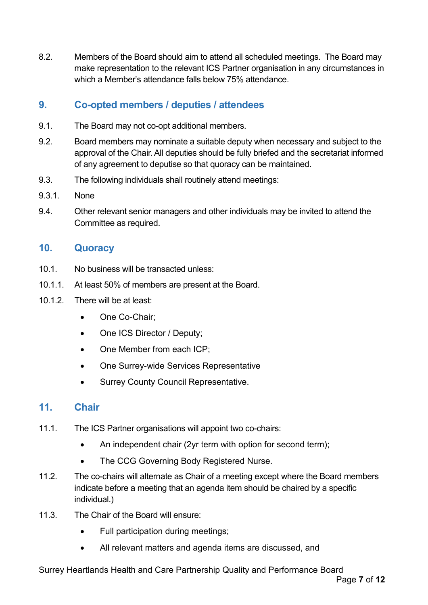8.2. Members of the Board should aim to attend all scheduled meetings. The Board may make representation to the relevant ICS Partner organisation in any circumstances in which a Member's attendance falls below 75% attendance.

## **9. Co-opted members / deputies / attendees**

- 9.1. The Board may not co-opt additional members.
- 9.2. Board members may nominate a suitable deputy when necessary and subject to the approval of the Chair. All deputies should be fully briefed and the secretariat informed of any agreement to deputise so that quoracy can be maintained.
- 9.3. The following individuals shall routinely attend meetings:
- 9.3.1. None
- 9.4. Other relevant senior managers and other individuals may be invited to attend the Committee as required.

#### **10. Quoracy**

- 10.1. No business will be transacted unless:
- 10.1.1. At least 50% of members are present at the Board.
- 10.1.2. There will be at least:
	- One Co-Chair;
	- One ICS Director / Deputy;
	- One Member from each ICP;
	- One Surrey-wide Services Representative
	- Surrey County Council Representative.

#### **11. Chair**

- 11.1. The ICS Partner organisations will appoint two co-chairs:
	- An independent chair (2yr term with option for second term);
	- The CCG Governing Body Registered Nurse.
- 11.2. The co-chairs will alternate as Chair of a meeting except where the Board members indicate before a meeting that an agenda item should be chaired by a specific individual.)
- 11.3. The Chair of the Board will ensure:
	- Full participation during meetings;
	- All relevant matters and agenda items are discussed, and

Surrey Heartlands Health and Care Partnership Quality and Performance Board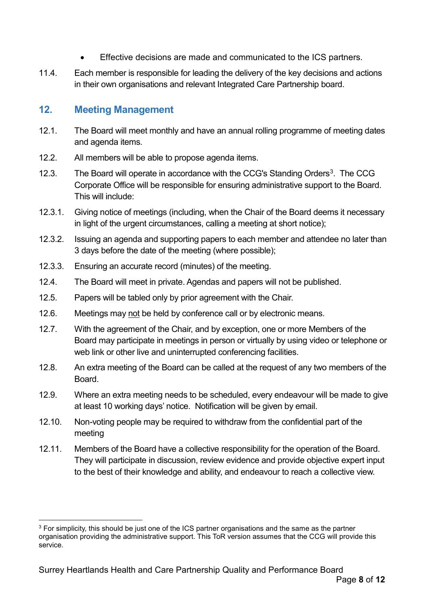- Effective decisions are made and communicated to the ICS partners.
- 11.4. Each member is responsible for leading the delivery of the key decisions and actions in their own organisations and relevant Integrated Care Partnership board.

#### **12. Meeting Management**

- 12.1. The Board will meet monthly and have an annual rolling programme of meeting dates and agenda items.
- 12.2. All members will be able to propose agenda items.
- 12.3. The Board will operate in accordance with the CCG's Standing Orders<sup>3</sup>. The CCG Corporate Office will be responsible for ensuring administrative support to the Board. This will include:
- 12.3.1. Giving notice of meetings (including, when the Chair of the Board deems it necessary in light of the urgent circumstances, calling a meeting at short notice);
- 12.3.2. Issuing an agenda and supporting papers to each member and attendee no later than 3 days before the date of the meeting (where possible);
- 12.3.3. Ensuring an accurate record (minutes) of the meeting.
- 12.4. The Board will meet in private. Agendas and papers will not be published.
- 12.5. Papers will be tabled only by prior agreement with the Chair.
- 12.6. Meetings may not be held by conference call or by electronic means.
- 12.7. With the agreement of the Chair, and by exception, one or more Members of the Board may participate in meetings in person or virtually by using video or telephone or web link or other live and uninterrupted conferencing facilities.
- 12.8. An extra meeting of the Board can be called at the request of any two members of the Board.
- 12.9. Where an extra meeting needs to be scheduled, every endeavour will be made to give at least 10 working days' notice. Notification will be given by email.
- 12.10. Non-voting people may be required to withdraw from the confidential part of the meeting
- 12.11. Members of the Board have a collective responsibility for the operation of the Board. They will participate in discussion, review evidence and provide objective expert input to the best of their knowledge and ability, and endeavour to reach a collective view.

<span id="page-7-0"></span><sup>&</sup>lt;sup>3</sup> For simplicity, this should be just one of the ICS partner organisations and the same as the partner organisation providing the administrative support. This ToR version assumes that the CCG will provide this service.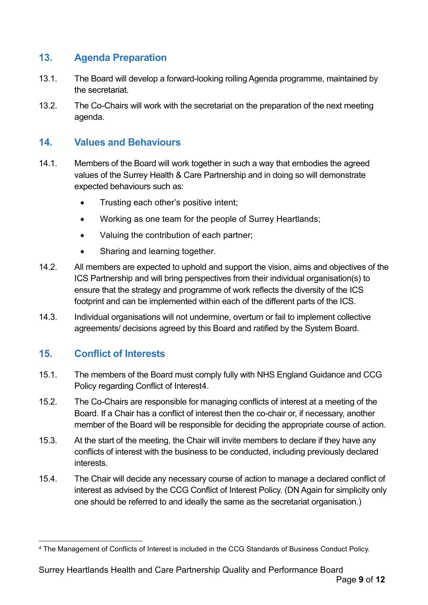#### **13. Agenda Preparation**

- 13.1. The Board will develop a forward-looking rolling Agenda programme, maintained by the secretariat.
- 13.2. The Co-Chairs will work with the secretariat on the preparation of the next meeting agenda.

#### **14. Values and Behaviours**

- 14.1. Members of the Board will work together in such a way that embodies the agreed values of the Surrey Health & Care Partnership and in doing so will demonstrate expected behaviours such as:
	- Trusting each other's positive intent;
	- Working as one team for the people of Surrey Heartlands;
	- Valuing the contribution of each partner;
	- Sharing and learning together.
- 14.2. All members are expected to uphold and support the vision, aims and objectives of the ICS Partnership and will bring perspectives from their individual organisation(s) to ensure that the strategy and programme of work reflects the diversity of the ICS footprint and can be implemented within each of the different parts of the ICS.
- 14.3. Individual organisations will not undermine, overturn or fail to implement collective agreements/ decisions agreed by this Board and ratified by the System Board.

## **15. Conflict of Interests**

- 15.1. The members of the Board must comply fully with NHS England Guidance and CCG Policy regarding Conflict of Interest[4.](#page-8-0)
- 15.2. The Co-Chairs are responsible for managing conflicts of interest at a meeting of the Board. If a Chair has a conflict of interest then the co-chair or, if necessary, another member of the Board will be responsible for deciding the appropriate course of action.
- 15.3. At the start of the meeting, the Chair will invite members to declare if they have any conflicts of interest with the business to be conducted, including previously declared interests.
- 15.4. The Chair will decide any necessary course of action to manage a declared conflict of interest as advised by the CCG Conflict of Interest Policy. (DN Again for simplicity only one should be referred to and ideally the same as the secretariat organisation.)

<span id="page-8-0"></span> <sup>4</sup> The Management of Conflicts of Interest is included in the CCG Standards of Business Conduct Policy.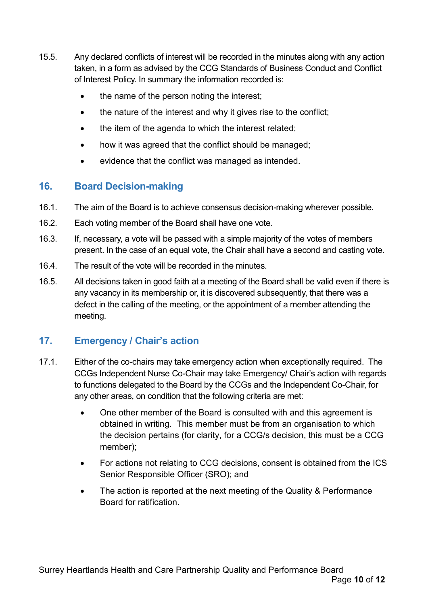- 15.5. Any declared conflicts of interest will be recorded in the minutes along with any action taken, in a form as advised by the CCG Standards of Business Conduct and Conflict of Interest Policy. In summary the information recorded is:
	- the name of the person noting the interest;
	- the nature of the interest and why it gives rise to the conflict;
	- the item of the agenda to which the interest related;
	- how it was agreed that the conflict should be managed;
	- evidence that the conflict was managed as intended.

### **16. Board Decision-making**

- 16.1. The aim of the Board is to achieve consensus decision-making wherever possible.
- 16.2. Each voting member of the Board shall have one vote.
- 16.3. If, necessary, a vote will be passed with a simple majority of the votes of members present. In the case of an equal vote, the Chair shall have a second and casting vote.
- 16.4. The result of the vote will be recorded in the minutes.
- 16.5. All decisions taken in good faith at a meeting of the Board shall be valid even if there is any vacancy in its membership or, it is discovered subsequently, that there was a defect in the calling of the meeting, or the appointment of a member attending the meeting.

#### **17. Emergency / Chair's action**

- 17.1. Either of the co-chairs may take emergency action when exceptionally required. The CCGs Independent Nurse Co-Chair may take Emergency/ Chair's action with regards to functions delegated to the Board by the CCGs and the Independent Co-Chair, for any other areas, on condition that the following criteria are met:
	- One other member of the Board is consulted with and this agreement is obtained in writing. This member must be from an organisation to which the decision pertains (for clarity, for a CCG/s decision, this must be a CCG member);
	- For actions not relating to CCG decisions, consent is obtained from the ICS Senior Responsible Officer (SRO); and
	- The action is reported at the next meeting of the Quality & Performance Board for ratification.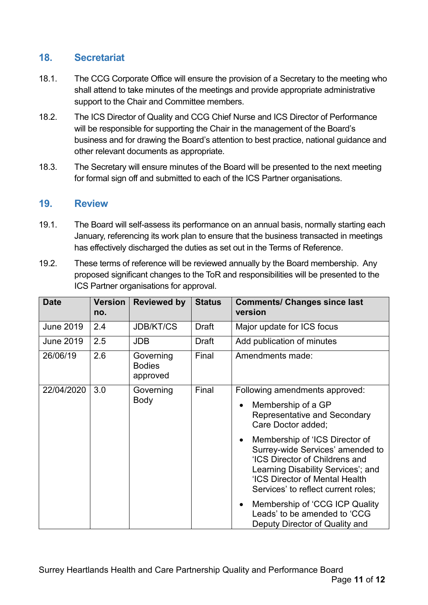#### **18. Secretariat**

- 18.1. The CCG Corporate Office will ensure the provision of a Secretary to the meeting who shall attend to take minutes of the meetings and provide appropriate administrative support to the Chair and Committee members.
- 18.2. The ICS Director of Quality and CCG Chief Nurse and ICS Director of Performance will be responsible for supporting the Chair in the management of the Board's business and for drawing the Board's attention to best practice, national guidance and other relevant documents as appropriate.
- 18.3. The Secretary will ensure minutes of the Board will be presented to the next meeting for formal sign off and submitted to each of the ICS Partner organisations.

#### **19. Review**

- 19.1. The Board will self-assess its performance on an annual basis, normally starting each January, referencing its work plan to ensure that the business transacted in meetings has effectively discharged the duties as set out in the Terms of Reference.
- 19.2. These terms of reference will be reviewed annually by the Board membership. Any proposed significant changes to the ToR and responsibilities will be presented to the ICS Partner organisations for approval.

| <b>Date</b>      | <b>Version</b><br>no. | <b>Reviewed by</b>                     | <b>Status</b> | <b>Comments/ Changes since last</b><br>version                                                                                                                                                                      |
|------------------|-----------------------|----------------------------------------|---------------|---------------------------------------------------------------------------------------------------------------------------------------------------------------------------------------------------------------------|
| <b>June 2019</b> | 2.4                   | <b>JDB/KT/CS</b>                       | <b>Draft</b>  | Major update for ICS focus                                                                                                                                                                                          |
| <b>June 2019</b> | 2.5                   | <b>JDB</b>                             | Draft         | Add publication of minutes                                                                                                                                                                                          |
| 26/06/19         | 2.6                   | Governing<br><b>Bodies</b><br>approved | Final         | Amendments made:                                                                                                                                                                                                    |
| 22/04/2020       | 3.0                   | Governing<br><b>Body</b>               | Final         | Following amendments approved:                                                                                                                                                                                      |
|                  |                       |                                        |               | Membership of a GP<br><b>Representative and Secondary</b><br>Care Doctor added;                                                                                                                                     |
|                  |                       |                                        |               | Membership of 'ICS Director of<br>Surrey-wide Services' amended to<br>'ICS Director of Childrens and<br>Learning Disability Services'; and<br>'ICS Director of Mental Health<br>Services' to reflect current roles; |
|                  |                       |                                        |               | Membership of 'CCG ICP Quality<br>Leads' to be amended to 'CCG<br>Deputy Director of Quality and                                                                                                                    |